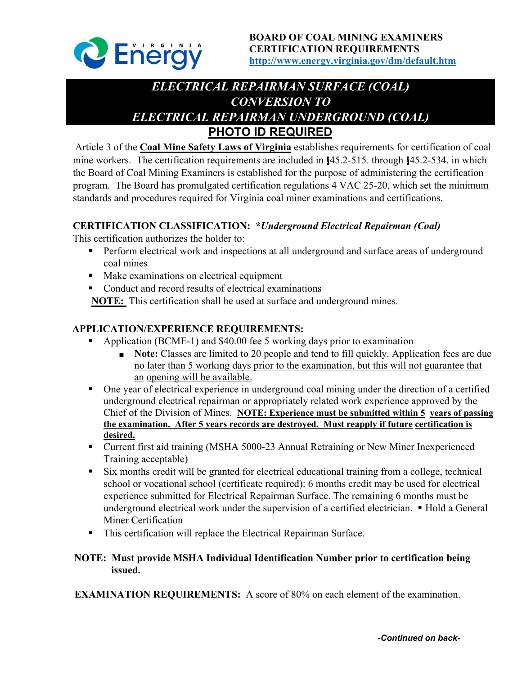

# *ELECTRICAL REPAIRMAN SURFACE (COAL) CONVERSION TO ELECTRICAL REPAIRMAN UNDERGROUND (COAL)*  **PHOTO ID REQUIRED**

Article 3 of the **Coal Mine Safety Laws of Virginia** establishes requirements for certification of coal mine workers. The certification requirements are included in §45.2-515. through §45.2-534. in which the Board of Coal Mining Examiners is established for the purpose of administering the certification program. The Board has promulgated certification regulations 4 VAC 25-20, which set the minimum standards and procedures required for Virginia coal miner examinations and certifications.

## **CERTIFICATION CLASSIFICATION: \****Underground Electrical Repairman (Coal)*

This certification authorizes the holder to:

- **Perform electrical work and inspections at all underground and surface areas of underground** coal mines
- **Make examinations on electrical equipment**
- Conduct and record results of electrical examinations

**NOTE:** This certification shall be used at surface and underground mines.

## **APPLICATION/EXPERIENCE REQUIREMENTS:**

- Application (BCME-1) and \$40.00 fee 5 working days prior to examination
	- **Note:** Classes are limited to 20 people and tend to fill quickly. Application fees are due no later than 5 working days prior to the examination, but this will not guarantee that an opening will be available.
- One year of electrical experience in underground coal mining under the direction of a certified underground electrical repairman or appropriately related work experience approved by the Chief of the Division of Mines. **NOTE: Experience must be submitted within 5 years of passing the examination. After 5 years records are destroyed. Must reapply if future certification is desired.**
- Current first aid training (MSHA 5000-23 Annual Retraining or New Miner Inexperienced Training acceptable)
- Six months credit will be granted for electrical educational training from a college, technical school or vocational school (certificate required): 6 months credit may be used for electrical experience submitted for Electrical Repairman Surface. The remaining 6 months must be underground electrical work under the supervision of a certified electrician.  $\blacksquare$  Hold a General Miner Certification
- This certification will replace the Electrical Repairman Surface.

## **NOTE: Must provide MSHA Individual Identification Number prior to certification being issued.**

**EXAMINATION REQUIREMENTS:** A score of 80% on each element of the examination.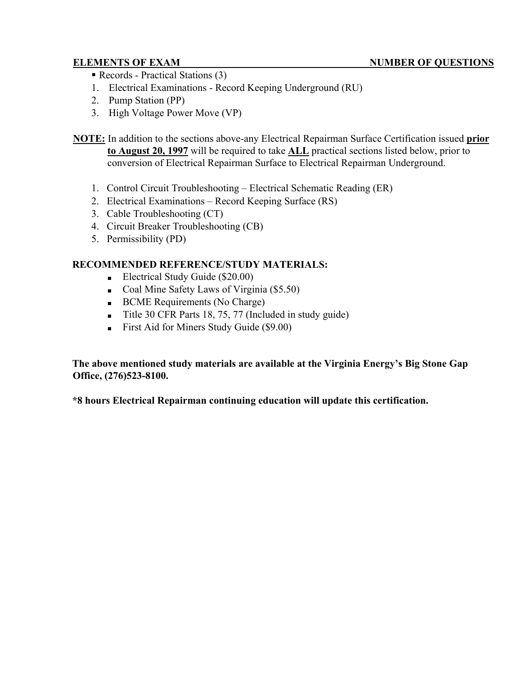- Records Practical Stations (3)
- 1. Electrical Examinations Record Keeping Underground (RU)
- 2. Pump Station (PP)
- 3. High Voltage Power Move (VP)

**NOTE:** In addition to the sections above-any Electrical Repairman Surface Certification issued **prior to August 20, 1997** will be required to take **ALL** practical sections listed below, prior to conversion of Electrical Repairman Surface to Electrical Repairman Underground.

- 1. Control Circuit Troubleshooting Electrical Schematic Reading (ER)
- 2. Electrical Examinations Record Keeping Surface (RS)
- 3. Cable Troubleshooting (CT)
- 4. Circuit Breaker Troubleshooting (CB)
- 5. Permissibility (PD)

#### **RECOMMENDED REFERENCE/STUDY MATERIALS:**

- Electrical Study Guide (\$20.00)
- Coal Mine Safety Laws of Virginia (\$5.50)
- BCME Requirements (No Charge)
- Title 30 CFR Parts 18, 75, 77 (Included in study guide)
- **■** First Aid for Miners Study Guide (\$9.00)

**The above mentioned study materials are available at the Virginia Energy's Big Stone Gap Office, (276)523-8100.** 

**\*8 hours Electrical Repairman continuing education will update this certification.**